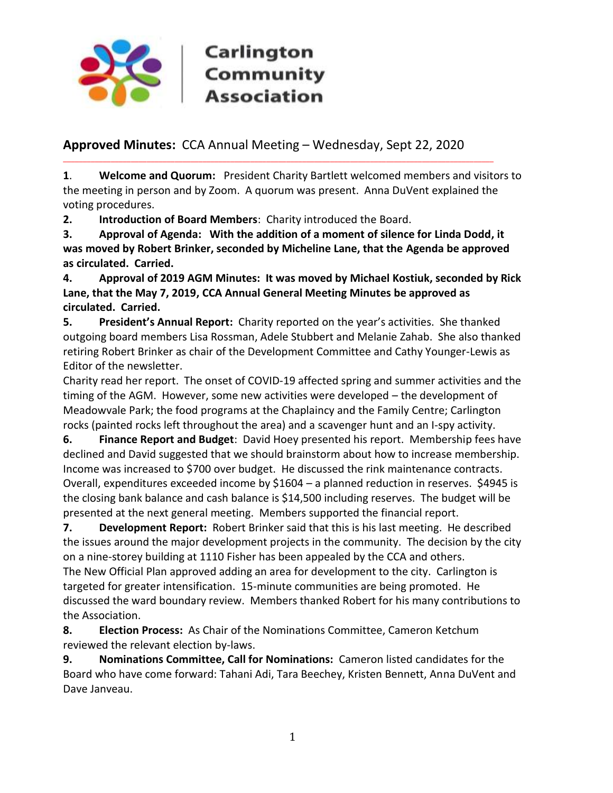

## Carlington Community **Association**

## **Approved Minutes:** CCA Annual Meeting – Wednesday, Sept 22, 2020

\_\_\_\_\_\_\_\_\_\_\_\_\_\_\_\_\_\_\_\_\_\_\_\_\_\_\_\_\_\_\_\_\_\_\_\_\_\_\_\_\_\_\_\_\_\_\_\_\_\_\_\_\_\_\_\_\_\_\_\_\_\_\_\_\_\_\_\_\_\_\_\_\_\_\_\_\_\_\_\_\_\_\_\_\_\_\_\_\_\_\_\_\_\_\_\_\_\_\_\_\_\_\_\_\_\_\_\_

**1**. **Welcome and Quorum:** President Charity Bartlett welcomed members and visitors to the meeting in person and by Zoom. A quorum was present. Anna DuVent explained the voting procedures.

**2. Introduction of Board Members**: Charity introduced the Board.

**3. Approval of Agenda: With the addition of a moment of silence for Linda Dodd, it was moved by Robert Brinker, seconded by Micheline Lane, that the Agenda be approved as circulated. Carried.**

**4. Approval of 2019 AGM Minutes: It was moved by Michael Kostiuk, seconded by Rick Lane, that the May 7, 2019, CCA Annual General Meeting Minutes be approved as circulated. Carried.**

**5. President's Annual Report:** Charity reported on the year's activities. She thanked outgoing board members Lisa Rossman, Adele Stubbert and Melanie Zahab. She also thanked retiring Robert Brinker as chair of the Development Committee and Cathy Younger-Lewis as Editor of the newsletter.

Charity read her report. The onset of COVID-19 affected spring and summer activities and the timing of the AGM. However, some new activities were developed – the development of Meadowvale Park; the food programs at the Chaplaincy and the Family Centre; Carlington rocks (painted rocks left throughout the area) and a scavenger hunt and an I-spy activity.

**6. Finance Report and Budget**: David Hoey presented his report. Membership fees have declined and David suggested that we should brainstorm about how to increase membership. Income was increased to \$700 over budget. He discussed the rink maintenance contracts. Overall, expenditures exceeded income by \$1604 – a planned reduction in reserves. \$4945 is the closing bank balance and cash balance is \$14,500 including reserves. The budget will be presented at the next general meeting. Members supported the financial report.

**7. Development Report:** Robert Brinker said that this is his last meeting. He described the issues around the major development projects in the community. The decision by the city on a nine-storey building at 1110 Fisher has been appealed by the CCA and others. The New Official Plan approved adding an area for development to the city. Carlington is targeted for greater intensification. 15-minute communities are being promoted. He discussed the ward boundary review. Members thanked Robert for his many contributions to the Association.

**8. Election Process:** As Chair of the Nominations Committee, Cameron Ketchum reviewed the relevant election by-laws.

**9. Nominations Committee, Call for Nominations:** Cameron listed candidates for the Board who have come forward: Tahani Adi, Tara Beechey, Kristen Bennett, Anna DuVent and Dave Janveau.